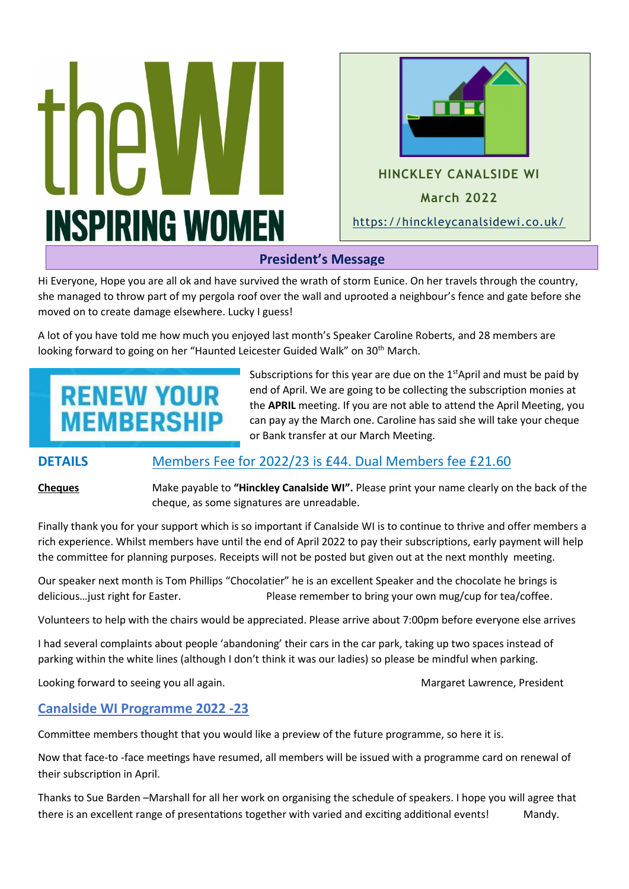



# **President's Message**

Hi Everyone, Hope you are all ok and have survived the wrath of storm Eunice. On her travels through the country, she managed to throw part of my pergola roof over the wall and uprooted a neighbour's fence and gate before she moved on to create damage elsewhere. Lucky I guess!

A lot of you have told me how much you enjoyed last month's Speaker Caroline Roberts, and 28 members are looking forward to going on her "Haunted Leicester Guided Walk" on 30<sup>th</sup> March.  $\frac{1}{20}$  materials  $\frac{1}{20}$ 

# **RENEW YOUR MEMBERSHIP**

Subscriptions for this year are due on the  $1<sup>st</sup>$ April and must be paid by end of April. We are going to be collecting the subscription monies at the **APRIL** meeting. If you are not able to attend the April Meeting, you can pay ay the March one. Caroline has said she will take your cheque or Bank transfer at our March Meeting. **September 2021**<br>**2021 2022** 

# **DETAILS** Members Fee for 2022/23 is £44. Dual Members fee £21.60

**Cheques** Make payable to **"Hinckley Canalside WI".** Please print your name clearly on the back of the cheque, as some signatures are unreadable.

Finally thank you for your support which is so important if Canalside WI is to continue to thrive and offer members a rich experience. Whilst members have until the end of April 2022 to pay their subscriptions, early payment will help the committee for planning purposes. Receipts will not be posted but given out at the next monthly meeting.

Our speaker next month is Tom Phillips "Chocolatier" he is an excellent Speaker and the chocolate he brings is delicious... just right for Easter. Please remember to bring your own mug/cup for tea/coffee.

Volunteers to help with the chairs would be appreciated. Please arrive about 7:00pm before everyone else arrives

I had several complaints about people 'abandoning' their cars in the car park, taking up two spaces instead of parking within the white lines (although I don't think it was our ladies) so please be mindful when parking.

Looking forward to seeing you all again. The match of the match of the Margaret Lawrence, President

# **Canalside WI Programme 2022 -23**

Committee members thought that you would like a preview of the future programme, so here it is.

Now that face-to -face meetings have resumed, all members will be issued with a programme card on renewal of their subscription in April.

Thanks to Sue Barden –Marshall for all her work on organising the schedule of speakers. I hope you will agree that there is an excellent range of presentations together with varied and exciting additional events! Mandy.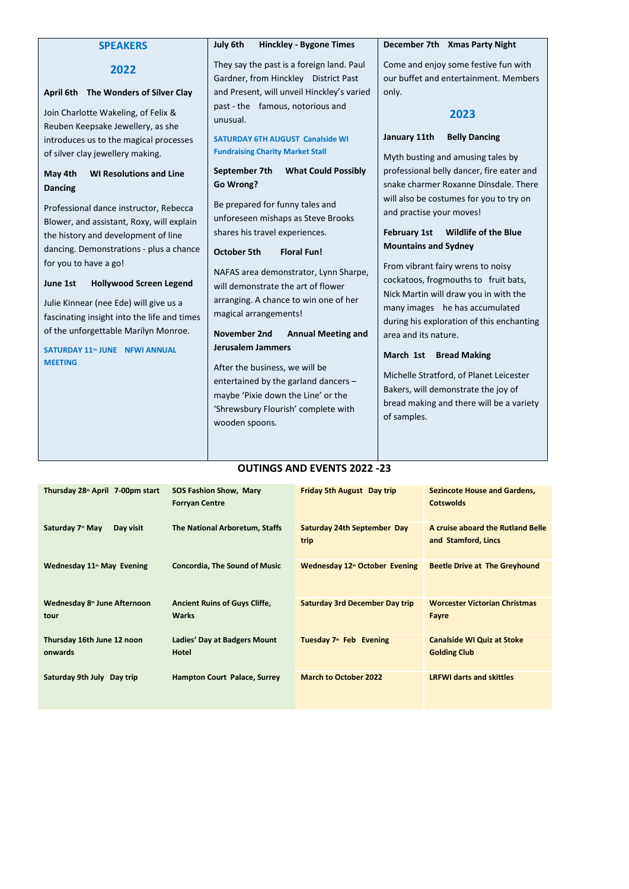| <b>SPEAKERS</b>                                                                                                                                                                                                                                                                                                                                              | July 6th<br><b>Hinckley - Bygone Times</b>                                                                                                                                                                                                                                                                                                                                                                                                   | December 7th Xmas Party Night                                                                                                                                                                                                                                                                                                                                                                  |
|--------------------------------------------------------------------------------------------------------------------------------------------------------------------------------------------------------------------------------------------------------------------------------------------------------------------------------------------------------------|----------------------------------------------------------------------------------------------------------------------------------------------------------------------------------------------------------------------------------------------------------------------------------------------------------------------------------------------------------------------------------------------------------------------------------------------|------------------------------------------------------------------------------------------------------------------------------------------------------------------------------------------------------------------------------------------------------------------------------------------------------------------------------------------------------------------------------------------------|
| 2022<br>April 6th The Wonders of Silver Clay<br>Join Charlotte Wakeling, of Felix &<br>Reuben Keepsake Jewellery, as she<br>introduces us to the magical processes<br>of silver clay jewellery making.<br><b>WI Resolutions and Line</b><br>May 4th<br><b>Dancing</b><br>Professional dance instructor, Rebecca<br>Blower, and assistant, Roxy, will explain | They say the past is a foreign land. Paul<br>Gardner, from Hinckley District Past<br>and Present, will unveil Hinckley's varied<br>past - the famous, notorious and<br>unusual.<br><b>SATURDAY 6TH AUGUST Canalside WI</b><br><b>Fundraising Charity Market Stall</b><br>September 7th<br><b>What Could Possibly</b><br>Go Wrong?<br>Be prepared for funny tales and<br>unforeseen mishaps as Steve Brooks<br>shares his travel experiences. | Come and enjoy some festive fun with<br>our buffet and entertainment. Members<br>only.<br>2023<br><b>Belly Dancing</b><br>January 11th<br>Myth busting and amusing tales by<br>professional belly dancer, fire eater and<br>snake charmer Roxanne Dinsdale. There<br>will also be costumes for you to try on<br>and practise your moves!<br><b>February 1st</b><br><b>Wildlife of the Blue</b> |
| the history and development of line<br>dancing. Demonstrations - plus a chance<br>for you to have a go!                                                                                                                                                                                                                                                      | <b>October 5th</b><br><b>Floral Fun!</b><br>NAFAS area demonstrator, Lynn Sharpe,                                                                                                                                                                                                                                                                                                                                                            | <b>Mountains and Sydney</b><br>From vibrant fairy wrens to noisy                                                                                                                                                                                                                                                                                                                               |
| June 1st<br><b>Hollywood Screen Legend</b><br>Julie Kinnear (nee Ede) will give us a<br>fascinating insight into the life and times<br>of the unforgettable Marilyn Monroe.<br>SATURDAY 11™ JUNE NFWI ANNUAL<br><b>MEETING</b>                                                                                                                               | will demonstrate the art of flower<br>arranging. A chance to win one of her<br>magical arrangements!<br>November 2nd<br><b>Annual Meeting and</b><br><b>Jerusalem Jammers</b><br>After the business, we will be<br>entertained by the garland dancers -<br>maybe 'Pixie down the Line' or the<br>'Shrewsbury Flourish' complete with                                                                                                         | cockatoos, frogmouths to fruit bats,<br>Nick Martin will draw you in with the<br>many images he has accumulated<br>during his exploration of this enchanting<br>area and its nature.<br>March 1st<br><b>Bread Making</b><br>Michelle Stratford, of Planet Leicester<br>Bakers, will demonstrate the joy of<br>bread making and there will be a variety                                         |
|                                                                                                                                                                                                                                                                                                                                                              | wooden spoons.                                                                                                                                                                                                                                                                                                                                                                                                                               | of samples.                                                                                                                                                                                                                                                                                                                                                                                    |

#### **OUTINGS AND EVENTS 2022 -23**

| Thursday 28 <sup>th</sup> April 7-00pm start     | <b>SOS Fashion Show, Mary</b><br><b>Forryan Centre</b> | <b>Friday 5th August</b> Day trip          | <b>Sezincote House and Gardens,</b><br><b>Cotswolds</b>  |
|--------------------------------------------------|--------------------------------------------------------|--------------------------------------------|----------------------------------------------------------|
| Saturday 7 <sup>th</sup> May<br>Day visit        | The National Arboretum, Staffs                         | Saturday 24th September Day<br>trip        | A cruise aboard the Rutland Belle<br>and Stamford, Lincs |
| Wednesday 11 <sup>th</sup> May Evening           | <b>Concordia, The Sound of Music</b>                   | Wednesday 12 <sup>th</sup> October Evening | <b>Beetle Drive at The Greyhound</b>                     |
| Wednesday 8 <sup>th</sup> June Afternoon<br>tour | <b>Ancient Ruins of Guys Cliffe,</b><br><b>Warks</b>   | <b>Saturday 3rd December Day trip</b>      | <b>Worcester Victorian Christmas</b><br>Fayre            |
| Thursday 16th June 12 noon<br>onwards            | Ladies' Day at Badgers Mount<br>Hotel                  | Tuesday 7 <sup>th</sup> Feb Evening        | <b>Canalside WI Quiz at Stoke</b><br><b>Golding Club</b> |
| Saturday 9th July Day trip                       | <b>Hampton Court Palace, Surrey</b>                    | <b>March to October 2022</b>               | <b>LRFWI darts and skittles</b>                          |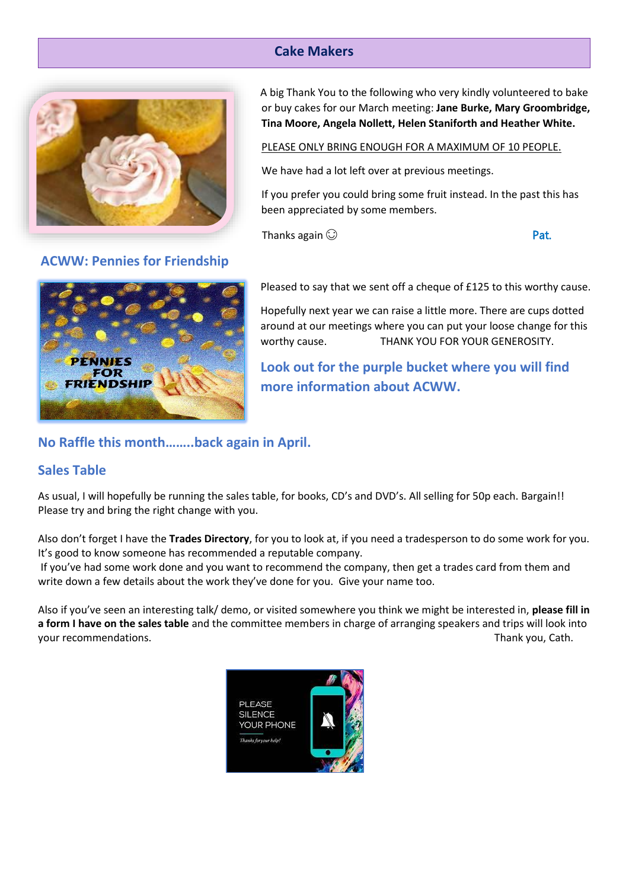# **Cake Makers**



**ACWW: Pennies for Friendship**

A big Thank You to the following who very kindly volunteered to bake or buy cakes for our March meeting: **Jane Burke, Mary Groombridge, Tina Moore, Angela Nollett, Helen Staniforth and Heather White.** 

#### PLEASE ONLY BRING ENOUGH FOR A MAXIMUM OF 10 PEOPLE.

We have had a lot left over at previous meetings.

If you prefer you could bring some fruit instead. In the past this has been appreciated by some members.

Thanks again  $\odot$  **Pat.** 



Pleased to say that we sent off a cheque of £125 to this worthy cause.

Hopefully next year we can raise a little more. There are cups dotted around at our meetings where you can put your loose change for this worthy cause. THANK YOU FOR YOUR GENEROSITY.

**Look out for the purple bucket where you will find more information about ACWW.**

# **No Raffle this month……..back again in April.**

#### **Sales Table**

As usual, I will hopefully be running the sales table, for books, CD's and DVD's. All selling for 50p each. Bargain!! Please try and bring the right change with you.

Also don't forget I have the **Trades Directory**, for you to look at, if you need a tradesperson to do some work for you. It's good to know someone has recommended a reputable company.

If you've had some work done and you want to recommend the company, then get a trades card from them and write down a few details about the work they've done for you. Give your name too.

Also if you've seen an interesting talk/ demo, or visited somewhere you think we might be interested in, **please fill in a form I have on the sales table** and the committee members in charge of arranging speakers and trips will look into your recommendations. Thank you, Cath.

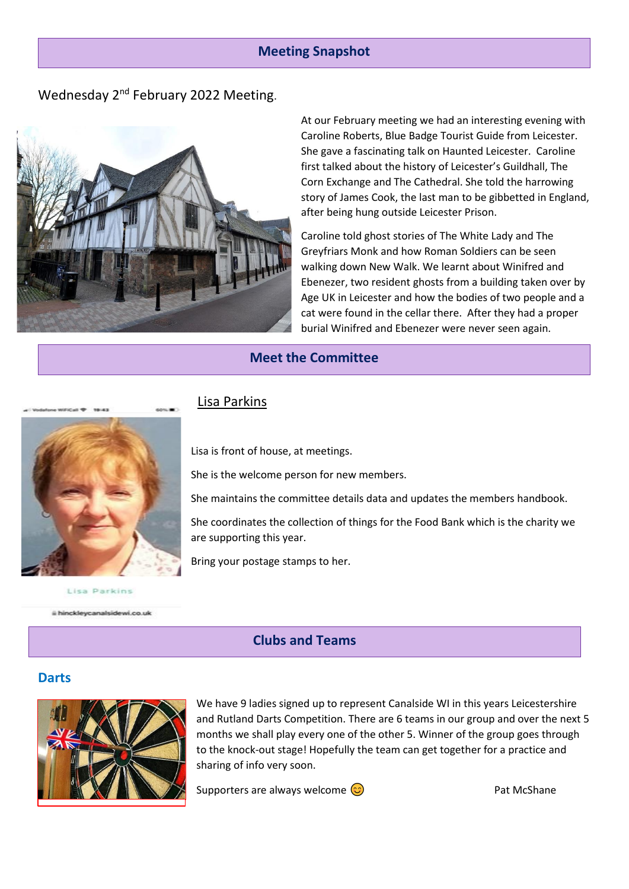#### **Meeting Snapshot**

# Wednesday 2<sup>nd</sup> February 2022 Meeting.



At our February meeting we had an interesting evening with Caroline Roberts, Blue Badge Tourist Guide from Leicester. She gave a fascinating talk on Haunted Leicester. Caroline first talked about the history of Leicester's Guildhall, The Corn Exchange and The Cathedral. She told the harrowing story of James Cook, the last man to be gibbetted in England, after being hung outside Leicester Prison.

Caroline told ghost stories of The White Lady and The Greyfriars Monk and how Roman Soldiers can be seen walking down New Walk. We learnt about Winifred and Ebenezer, two resident ghosts from a building taken over by Age UK in Leicester and how the bodies of two people and a cat were found in the cellar there. After they had a proper burial Winifred and Ebenezer were never seen again.

#### **Meet the Committee**



Lisa is front of house, at meetings.

She is the welcome person for new members.

She maintains the committee details data and updates the members handbook.

She coordinates the collection of things for the Food Bank which is the charity we are supporting this year.

Bring your postage stamps to her.

Lisa Parkins

ii hinckleycanalsidewi.co.uk

#### **Clubs and Teams**

#### **Darts**



We have 9 ladies signed up to represent Canalside WI in this years Leicestershire and Rutland Darts Competition. There are 6 teams in our group and over the next 5 months we shall play every one of the other 5. Winner of the group goes through to the knock-out stage! Hopefully the team can get together for a practice and sharing of info very soon.

Supporters are always welcome  $\odot$  example 2 and McShane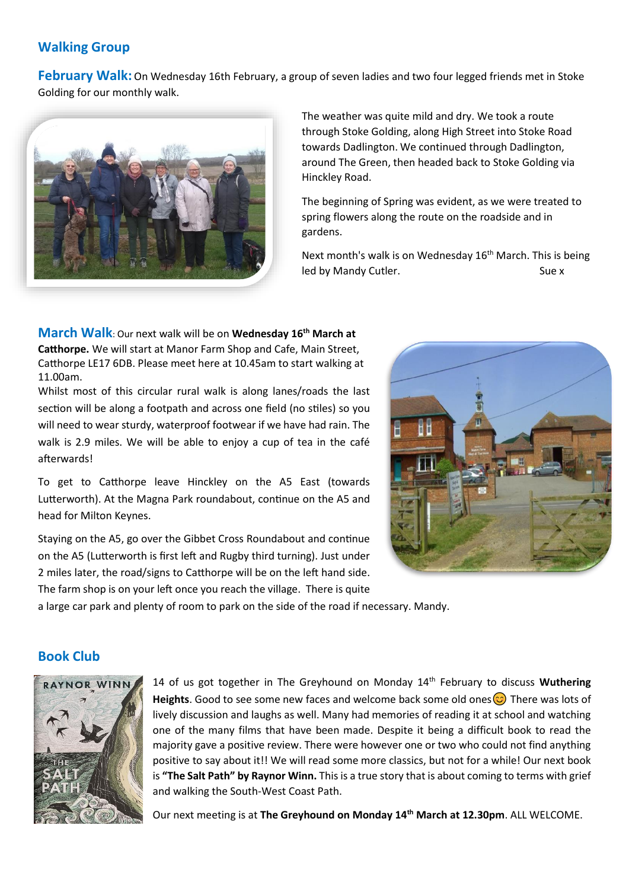## **Walking Group**

**February Walk:** On Wednesday 16th February, a group of seven ladies and two four legged friends met in Stoke Golding for our monthly walk.



The weather was quite mild and dry. We took a route through Stoke Golding, along High Street into Stoke Road towards Dadlington. We continued through Dadlington, around The Green, then headed back to Stoke Golding via Hinckley Road.

The beginning of Spring was evident, as we were treated to spring flowers along the route on the roadside and in gardens.

Next month's walk is on Wednesday 16<sup>th</sup> March. This is being led by Mandy Cutler. Sue x

**March Walk**: Our next walk will be on **Wednesday 16th March at Catthorpe.** We will start at Manor Farm Shop and Cafe, Main Street, Catthorpe LE17 6DB. Please meet here at 10.45am to start walking at 11.00am.

Whilst most of this circular rural walk is along lanes/roads the last section will be along a footpath and across one field (no stiles) so you will need to wear sturdy, waterproof footwear if we have had rain. The walk is 2.9 miles. We will be able to enjoy a cup of tea in the café afterwards!

To get to Catthorpe leave Hinckley on the A5 East (towards Lutterworth). At the Magna Park roundabout, continue on the A5 and head for Milton Keynes.

Staying on the A5, go over the Gibbet Cross Roundabout and continue on the A5 (Lutterworth is first left and Rugby third turning). Just under 2 miles later, the road/signs to Catthorpe will be on the left hand side. The farm shop is on your left once you reach the village. There is quite



a large car park and plenty of room to park on the side of the road if necessary. Mandy.

## **Book Club**



14 of us got together in The Greyhound on Monday 14<sup>th</sup> February to discuss **Wuthering** Heights. Good to see some new faces and welcome back some old ones  $\odot$  There was lots of lively discussion and laughs as well. Many had memories of reading it at school and watching one of the many films that have been made. Despite it being a difficult book to read the majority gave a positive review. There were however one or two who could not find anything positive to say about it!! We will read some more classics, but not for a while! Our next book is **"The Salt Path" by Raynor Winn.** This is a true story that is about coming to terms with grief and walking the South-West Coast Path.

Our next meeting is at **The Greyhound on Monday 14th March at 12.30pm**. ALL WELCOME.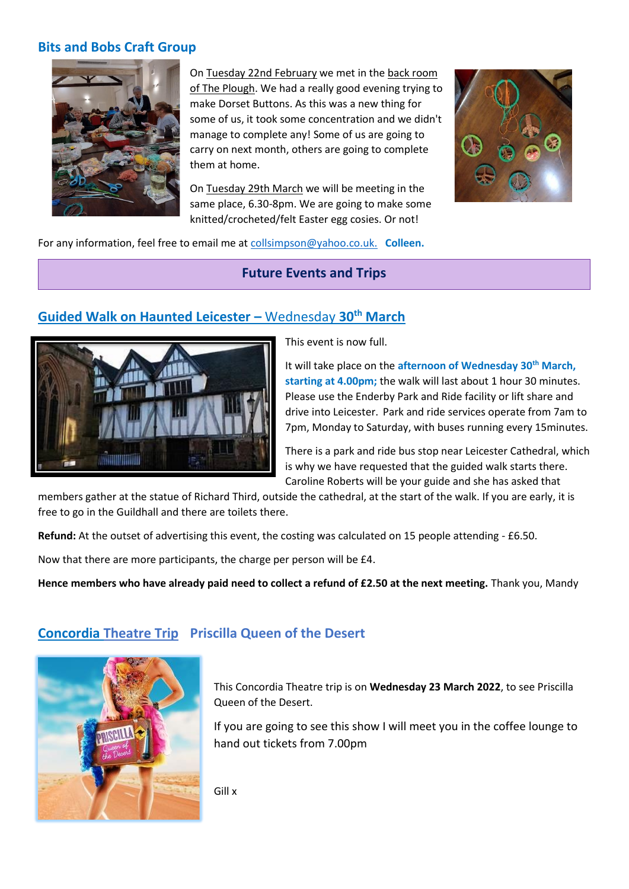#### **Bits and Bobs Craft Group**



On Tuesday 22nd February we met in the back room of The Plough. We had a really good evening trying to make Dorset Buttons. As this was a new thing for some of us, it took some concentration and we didn't manage to complete any! Some of us are going to carry on next month, others are going to complete them at home.

On Tuesday 29th March we will be meeting in the same place, 6.30-8pm. We are going to make some knitted/crocheted/felt Easter egg cosies. Or not!



For any information, feel free to email me at [collsimpson@yahoo.co.uk.](mailto:collsimpson@yahoo.co.uk.) **Colleen.**

**Future Events and Trips**

# **Guided Walk on Haunted Leicester –** Wednesday **30th March**



This event is now full.

It will take place on the **afternoon of Wednesday 30th March, starting at 4.00pm;** the walk will last about 1 hour 30 minutes. Please use the Enderby Park and Ride facility or lift share and drive into Leicester. Park and ride services operate from 7am to 7pm, Monday to Saturday, with buses running every 15minutes.

There is a park and ride bus stop near Leicester Cathedral, which is why we have requested that the guided walk starts there. Caroline Roberts will be your guide and she has asked that

members gather at the statue of Richard Third, outside the cathedral, at the start of the walk. If you are early, it is free to go in the Guildhall and there are toilets there.

**Refund:** At the outset of advertising this event, the costing was calculated on 15 people attending - £6.50.

Now that there are more participants, the charge per person will be £4.

**Hence members who have already paid need to collect a refund of £2.50 at the next meeting.** Thank you, Mandy

# **Concordia Theatre Trip Priscilla Queen of the Desert**

This Concordia Theatre trip is on **Wednesday 23 March 2022**, to see Priscilla Queen of the Desert.

If you are going to see this show I will meet you in the coffee lounge to hand out tickets from 7.00pm

Gill x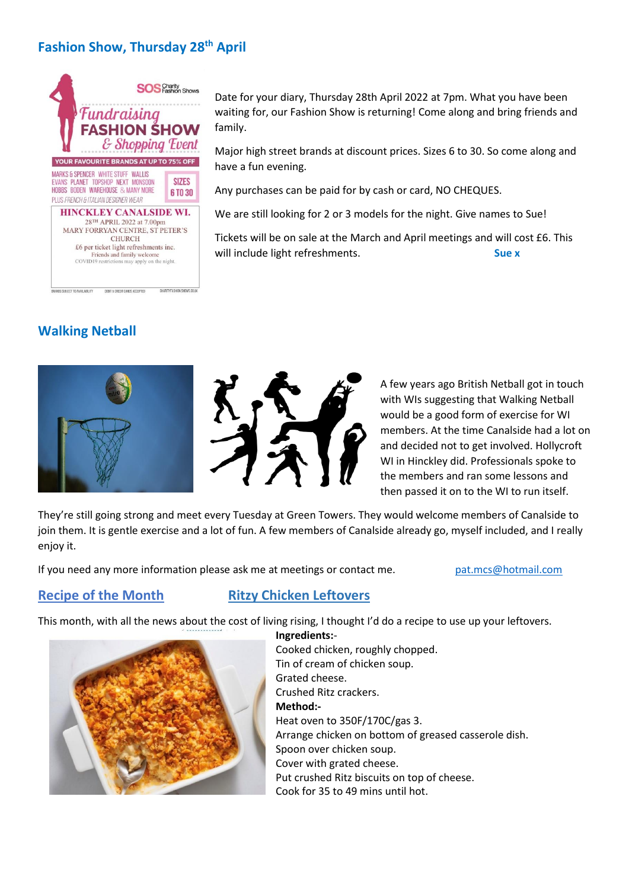# **Fashion Show, Thursday 28th April**



DEBIT & CREDIT CARDS ACCEPTED

**Walking Netball** 

.<br>ANDS SUBJECT TO AVAILABILITY





A few years ago British Netball got in touch with WIs suggesting that Walking Netball would be a good form of exercise for WI members. At the time Canalside had a lot on and decided not to get involved. Hollycroft WI in Hinckley did. Professionals spoke to the members and ran some lessons and then passed it on to the WI to run itself.

They're still g[oing strong a](https://creativecommons.org/licenses/by-nc-nd/3.0/)nd meet every Tuesday at Green Towers. They would welcome members of Canalside to join them. It is gentle exercise and a lot of fun. A few members of Canalside already go, myself included, and I really enjoy it.

If you need any more information please ask me at meetings or contact me. [pat.mcs@hotmail.com](mailto:pat.mcs@hotmail.com)

# **Recipe of the Month Ritzy Chicken Leftovers**

This month, with all the news about the cost of living rising, I thought I'd do a recipe to use up your leftovers.



**Ingredients:**-

Cooked chicken, roughly chopped. Tin of cream of chicken soup. Grated cheese. Crushed Ritz crackers. **Method:-** Heat oven to 350F/170C/gas 3. Arrange chicken on bottom of greased casserole dish. Spoon over chicken soup. Cover with grated cheese. Put crushed Ritz biscuits on top of cheese. Cook for 35 to 49 mins until hot.